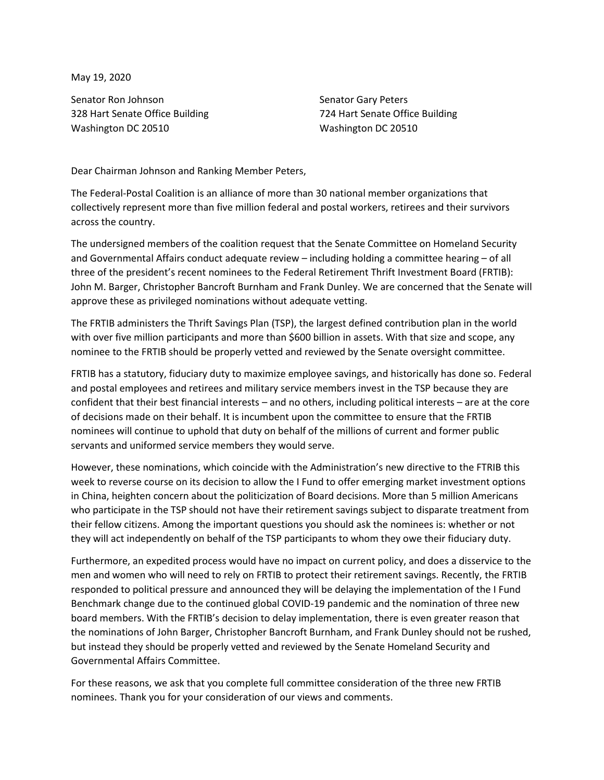May 19, 2020

Senator Ron Johnson 328 Hart Senate Office Building Washington DC 20510

Senator Gary Peters 724 Hart Senate Office Building Washington DC 20510

Dear Chairman Johnson and Ranking Member Peters,

The Federal-Postal Coalition is an alliance of more than 30 national member organizations that collectively represent more than five million federal and postal workers, retirees and their survivors across the country.

The undersigned members of the coalition request that the Senate Committee on Homeland Security and Governmental Affairs conduct adequate review – including holding a committee hearing – of all three of the president's recent nominees to the Federal Retirement Thrift Investment Board (FRTIB): John M. Barger, Christopher Bancroft Burnham and Frank Dunley. We are concerned that the Senate will approve these as privileged nominations without adequate vetting.

The FRTIB administers the Thrift Savings Plan (TSP), the largest defined contribution plan in the world with over five million participants and more than \$600 billion in assets. With that size and scope, any nominee to the FRTIB should be properly vetted and reviewed by the Senate oversight committee.

FRTIB has a statutory, fiduciary duty to maximize employee savings, and historically has done so. Federal and postal employees and retirees and military service members invest in the TSP because they are confident that their best financial interests – and no others, including political interests – are at the core of decisions made on their behalf. It is incumbent upon the committee to ensure that the FRTIB nominees will continue to uphold that duty on behalf of the millions of current and former public servants and uniformed service members they would serve.

However, these nominations, which coincide with the Administration's new directive to the FTRIB this week to reverse course on its decision to allow the I Fund to offer emerging market investment options in China, heighten concern about the politicization of Board decisions. More than 5 million Americans who participate in the TSP should not have their retirement savings subject to disparate treatment from their fellow citizens. Among the important questions you should ask the nominees is: whether or not they will act independently on behalf of the TSP participants to whom they owe their fiduciary duty.

Furthermore, an expedited process would have no impact on current policy, and does a disservice to the men and women who will need to rely on FRTIB to protect their retirement savings. Recently, the FRTIB responded to political pressure and announced they will be delaying the implementation of the I Fund Benchmark change due to the continued global COVID-19 pandemic and the nomination of three new board members. With the FRTIB's decision to delay implementation, there is even greater reason that the nominations of John Barger, Christopher Bancroft Burnham, and Frank Dunley should not be rushed, but instead they should be properly vetted and reviewed by the Senate Homeland Security and Governmental Affairs Committee.

For these reasons, we ask that you complete full committee consideration of the three new FRTIB nominees. Thank you for your consideration of our views and comments.